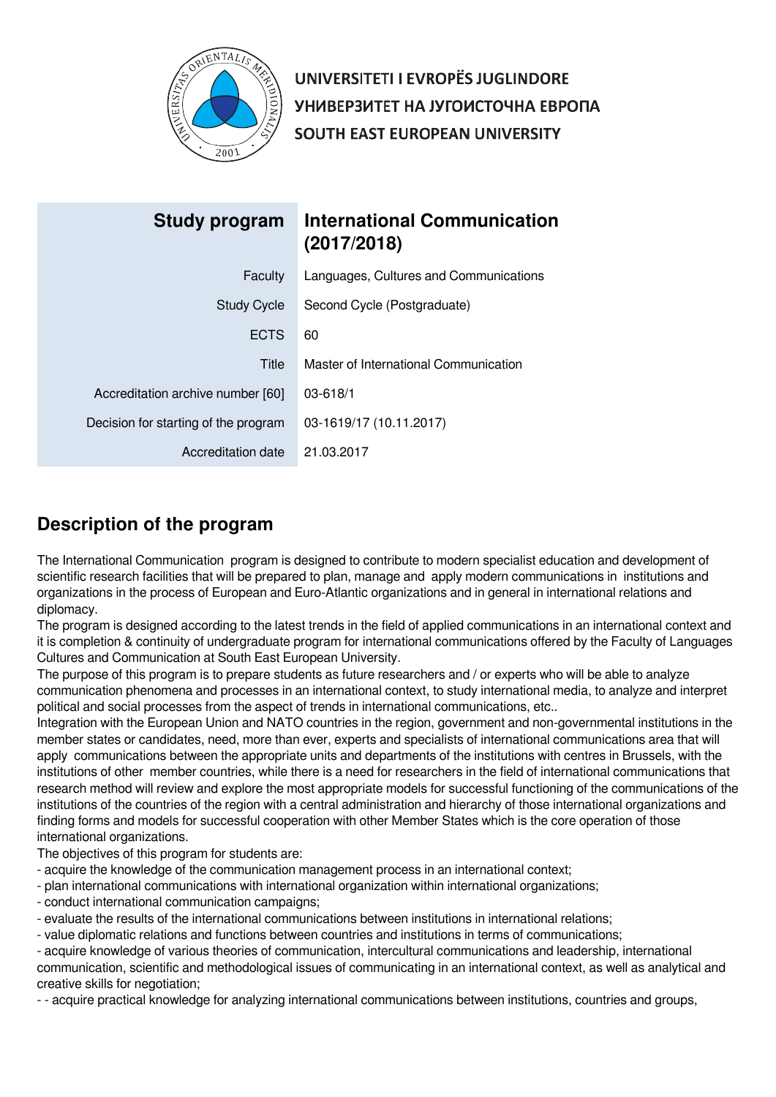

UNIVERSITETI I EVROPËS JUGLINDORE УНИВЕРЗИТЕТ НА ЈУГОИСТОЧНА ЕВРОПА SOUTH EAST EUROPEAN UNIVERSITY

| Study program                        | <b>International Communication</b><br>(2017/2018) |
|--------------------------------------|---------------------------------------------------|
| Faculty                              | Languages, Cultures and Communications            |
| <b>Study Cycle</b>                   | Second Cycle (Postgraduate)                       |
| <b>ECTS</b>                          | 60                                                |
| Title                                | Master of International Communication             |
| Accreditation archive number [60]    | 03-618/1                                          |
| Decision for starting of the program | 03-1619/17 (10.11.2017)                           |
| Accreditation date                   | 21.03.2017                                        |

# **Description of the program**

The International Communication program is designed to contribute to modern specialist education and development of scientific research facilities that will be prepared to plan, manage and apply modern communications in institutions and organizations in the process of European and Euro-Atlantic organizations and in general in international relations and diplomacy.

The program is designed according to the latest trends in the field of applied communications in an international context and it is completion & continuity of undergraduate program for international communications offered by the Faculty of Languages Cultures and Communication at South East European University.

The purpose of this program is to prepare students as future researchers and / or experts who will be able to analyze communication phenomena and processes in an international context, to study international media, to analyze and interpret political and social processes from the aspect of trends in international communications, etc..

Integration with the European Union and NATO countries in the region, government and non-governmental institutions in the member states or candidates, need, more than ever, experts and specialists of international communications area that will apply communications between the appropriate units and departments of the institutions with centres in Brussels, with the institutions of other member countries, while there is a need for researchers in the field of international communications that research method will review and explore the most appropriate models for successful functioning of the communications of the institutions of the countries of the region with a central administration and hierarchy of those international organizations and finding forms and models for successful cooperation with other Member States which is the core operation of those international organizations.

The objectives of this program for students are:

- acquire the knowledge of the communication management process in an international context;
- plan international communications with international organization within international organizations;
- conduct international communication campaigns;
- evaluate the results of the international communications between institutions in international relations;
- value diplomatic relations and functions between countries and institutions in terms of communications;

- acquire knowledge of various theories of communication, intercultural communications and leadership, international communication, scientific and methodological issues of communicating in an international context, as well as analytical and creative skills for negotiation;

- - acquire practical knowledge for analyzing international communications between institutions, countries and groups,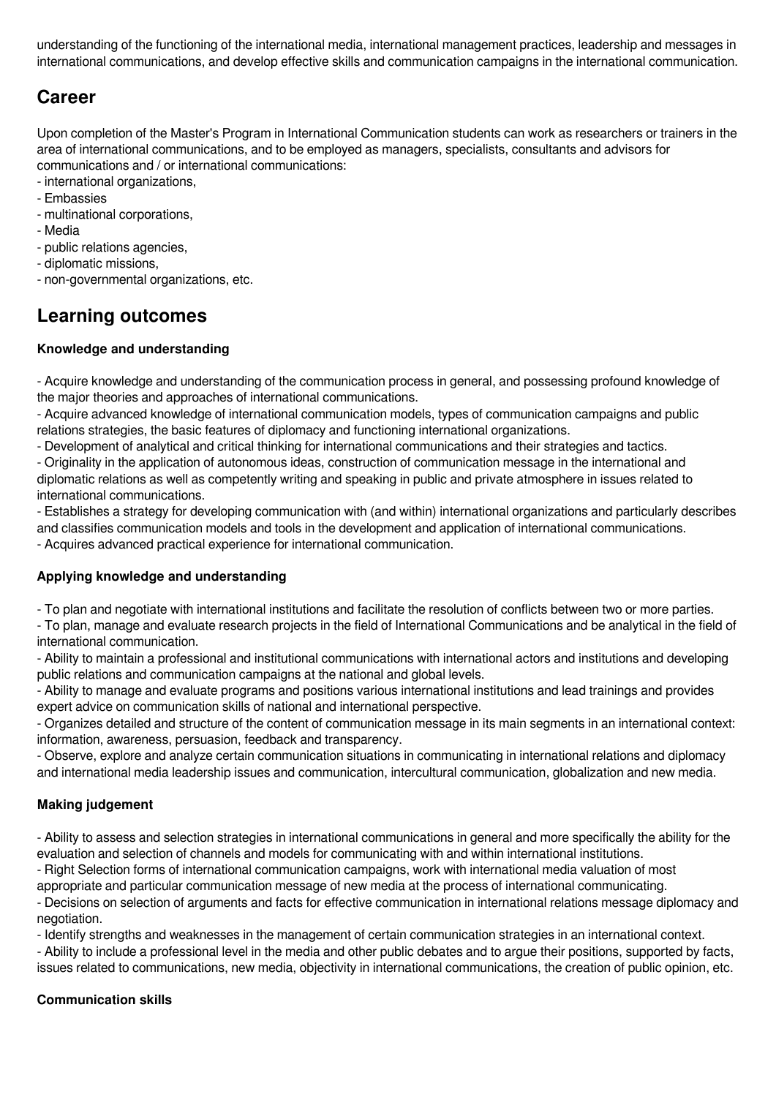understanding of the functioning of the international media, international management practices, leadership and messages in international communications, and develop effective skills and communication campaigns in the international communication.

# **Career**

Upon completion of the Master's Program in International Communication students can work as researchers or trainers in the area of international communications, and to be employed as managers, specialists, consultants and advisors for communications and / or international communications:

- international organizations,
- Embassies
- multinational corporations,
- Media
- public relations agencies,
- diplomatic missions,
- non-governmental organizations, etc.

# **Learning outcomes**

# **Knowledge and understanding**

- Acquire knowledge and understanding of the communication process in general, and possessing profound knowledge of the major theories and approaches of international communications.

- Acquire advanced knowledge of international communication models, types of communication campaigns and public relations strategies, the basic features of diplomacy and functioning international organizations.

- Development of analytical and critical thinking for international communications and their strategies and tactics.

- Originality in the application of autonomous ideas, construction of communication message in the international and diplomatic relations as well as competently writing and speaking in public and private atmosphere in issues related to international communications.

- Establishes a strategy for developing communication with (and within) international organizations and particularly describes

and classifies communication models and tools in the development and application of international communications.

- Acquires advanced practical experience for international communication.

# **Applying knowledge and understanding**

- To plan and negotiate with international institutions and facilitate the resolution of conflicts between two or more parties.

- To plan, manage and evaluate research projects in the field of International Communications and be analytical in the field of international communication.

- Ability to maintain a professional and institutional communications with international actors and institutions and developing public relations and communication campaigns at the national and global levels.

- Ability to manage and evaluate programs and positions various international institutions and lead trainings and provides expert advice on communication skills of national and international perspective.

- Organizes detailed and structure of the content of communication message in its main segments in an international context: information, awareness, persuasion, feedback and transparency.

- Observe, explore and analyze certain communication situations in communicating in international relations and diplomacy and international media leadership issues and communication, intercultural communication, globalization and new media.

# **Making judgement**

- Ability to assess and selection strategies in international communications in general and more specifically the ability for the evaluation and selection of channels and models for communicating with and within international institutions.

- Right Selection forms of international communication campaigns, work with international media valuation of most

appropriate and particular communication message of new media at the process of international communicating. - Decisions on selection of arguments and facts for effective communication in international relations message diplomacy and negotiation.

- Identify strengths and weaknesses in the management of certain communication strategies in an international context.

- Ability to include a professional level in the media and other public debates and to argue their positions, supported by facts, issues related to communications, new media, objectivity in international communications, the creation of public opinion, etc.

# **Communication skills**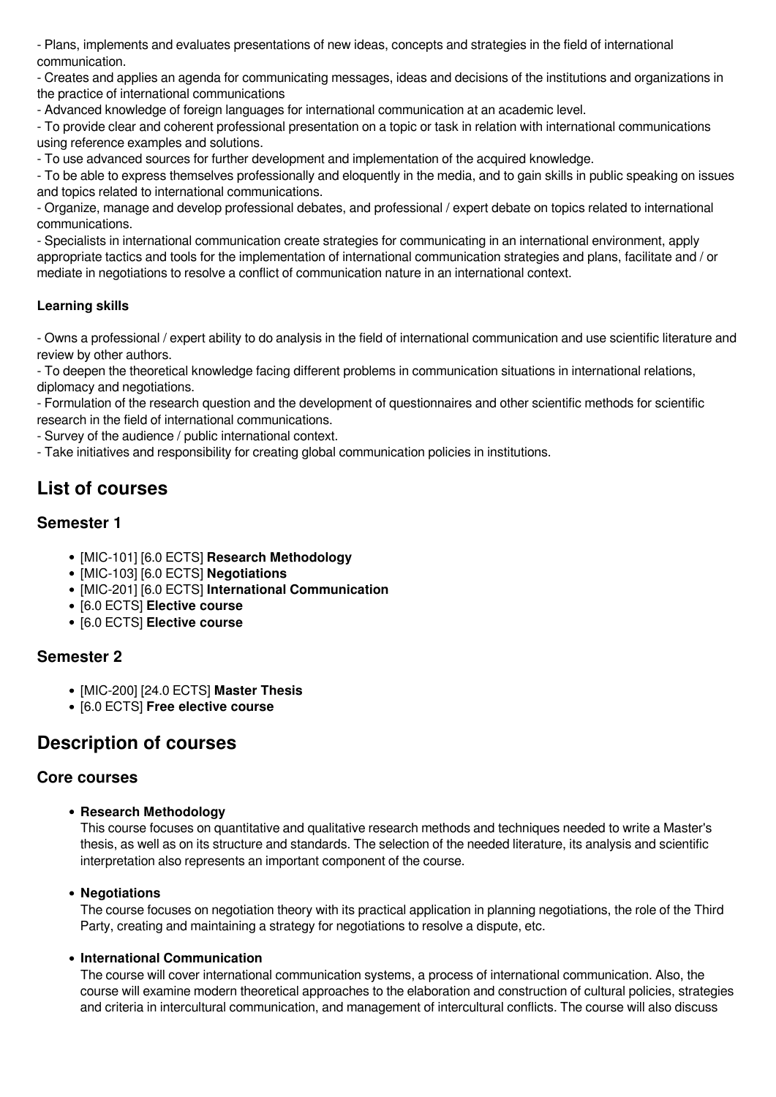- Plans, implements and evaluates presentations of new ideas, concepts and strategies in the field of international communication.

- Creates and applies an agenda for communicating messages, ideas and decisions of the institutions and organizations in the practice of international communications

- Advanced knowledge of foreign languages for international communication at an academic level.

- To provide clear and coherent professional presentation on a topic or task in relation with international communications using reference examples and solutions.

- To use advanced sources for further development and implementation of the acquired knowledge.

- To be able to express themselves professionally and eloquently in the media, and to gain skills in public speaking on issues and topics related to international communications.

- Organize, manage and develop professional debates, and professional / expert debate on topics related to international communications.

- Specialists in international communication create strategies for communicating in an international environment, apply appropriate tactics and tools for the implementation of international communication strategies and plans, facilitate and / or mediate in negotiations to resolve a conflict of communication nature in an international context.

# **Learning skills**

- Owns a professional / expert ability to do analysis in the field of international communication and use scientific literature and review by other authors.

- To deepen the theoretical knowledge facing different problems in communication situations in international relations, diplomacy and negotiations.

- Formulation of the research question and the development of questionnaires and other scientific methods for scientific research in the field of international communications.

- Survey of the audience / public international context.

- Take initiatives and responsibility for creating global communication policies in institutions.

# **List of courses**

# **Semester 1**

- [MIC-101] [6.0 ECTS] **Research Methodology**
- [MIC-103] [6.0 ECTS] **Negotiations**
- [MIC-201] [6.0 ECTS] **International Communication**
- [6.0 ECTS] **Elective course**
- [6.0 ECTS] **Elective course**

# **Semester 2**

- [MIC-200] [24.0 ECTS] **Master Thesis**
- [6.0 ECTS] **Free elective course**

# **Description of courses**

# **Core courses**

**Research Methodology**

This course focuses on quantitative and qualitative research methods and techniques needed to write a Master's thesis, as well as on its structure and standards. The selection of the needed literature, its analysis and scientific interpretation also represents an important component of the course.

# **Negotiations**

The course focuses on negotiation theory with its practical application in planning negotiations, the role of the Third Party, creating and maintaining a strategy for negotiations to resolve a dispute, etc.

#### **International Communication**

The course will cover international communication systems, a process of international communication. Also, the course will examine modern theoretical approaches to the elaboration and construction of cultural policies, strategies and criteria in intercultural communication, and management of intercultural conflicts. The course will also discuss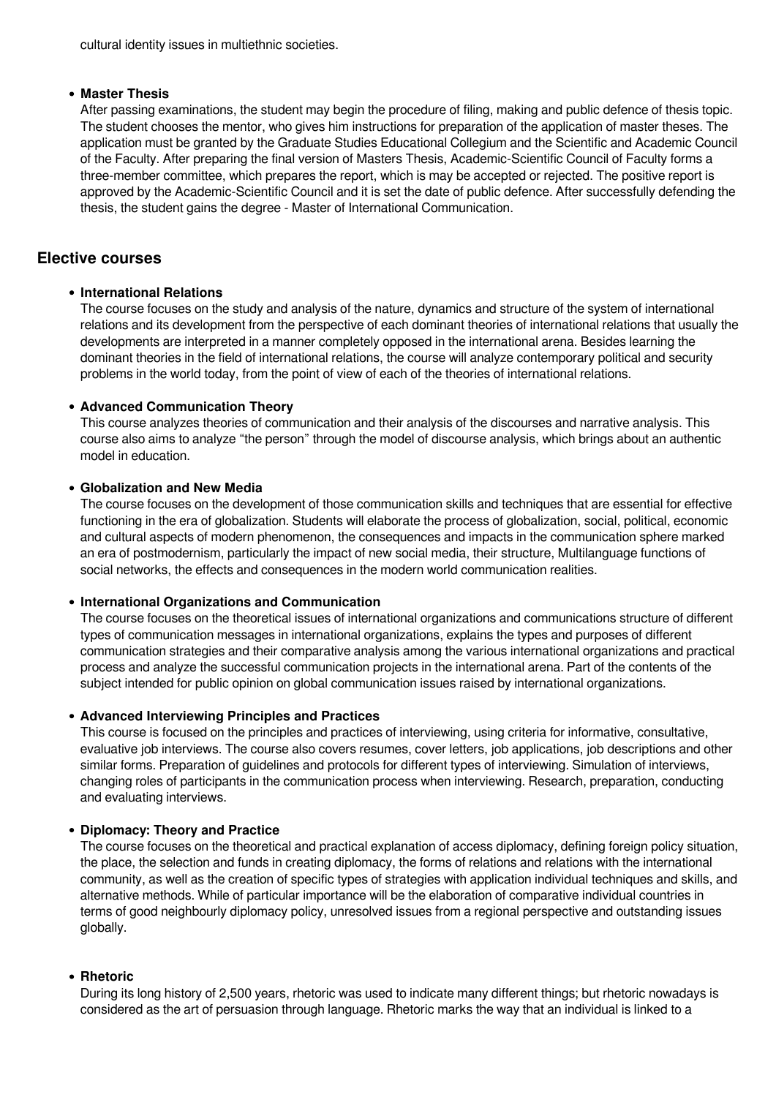cultural identity issues in multiethnic societies.

#### **Master Thesis**

After passing examinations, the student may begin the procedure of filing, making and public defence of thesis topic. The student chooses the mentor, who gives him instructions for preparation of the application of master theses. The application must be granted by the Graduate Studies Educational Collegium and the Scientific and Academic Council of the Faculty. After preparing the final version of Masters Thesis, Academic-Scientific Council of Faculty forms a three-member committee, which prepares the report, which is may be accepted or rejected. The positive report is approved by the Academic-Scientific Council and it is set the date of public defence. After successfully defending the thesis, the student gains the degree - Master of International Communication.

# **Elective courses**

#### **International Relations**

The course focuses on the study and analysis of the nature, dynamics and structure of the system of international relations and its development from the perspective of each dominant theories of international relations that usually the developments are interpreted in a manner completely opposed in the international arena. Besides learning the dominant theories in the field of international relations, the course will analyze contemporary political and security problems in the world today, from the point of view of each of the theories of international relations.

#### **Advanced Communication Theory**

This course analyzes theories of communication and their analysis of the discourses and narrative analysis. This course also aims to analyze "the person" through the model of discourse analysis, which brings about an authentic model in education.

#### **Globalization and New Media**

The course focuses on the development of those communication skills and techniques that are essential for effective functioning in the era of globalization. Students will elaborate the process of globalization, social, political, economic and cultural aspects of modern phenomenon, the consequences and impacts in the communication sphere marked an era of postmodernism, particularly the impact of new social media, their structure, Multilanguage functions of social networks, the effects and consequences in the modern world communication realities.

#### **International Organizations and Communication**

The course focuses on the theoretical issues of international organizations and communications structure of different types of communication messages in international organizations, explains the types and purposes of different communication strategies and their comparative analysis among the various international organizations and practical process and analyze the successful communication projects in the international arena. Part of the contents of the subject intended for public opinion on global communication issues raised by international organizations.

#### **Advanced Interviewing Principles and Practices**

This course is focused on the principles and practices of interviewing, using criteria for informative, consultative, evaluative job interviews. The course also covers resumes, cover letters, job applications, job descriptions and other similar forms. Preparation of guidelines and protocols for different types of interviewing. Simulation of interviews, changing roles of participants in the communication process when interviewing. Research, preparation, conducting and evaluating interviews.

#### **Diplomacy: Theory and Practice**

The course focuses on the theoretical and practical explanation of access diplomacy, defining foreign policy situation, the place, the selection and funds in creating diplomacy, the forms of relations and relations with the international community, as well as the creation of specific types of strategies with application individual techniques and skills, and alternative methods. While of particular importance will be the elaboration of comparative individual countries in terms of good neighbourly diplomacy policy, unresolved issues from a regional perspective and outstanding issues globally.

#### **Rhetoric**

During its long history of 2,500 years, rhetoric was used to indicate many different things; but rhetoric nowadays is considered as the art of persuasion through language. Rhetoric marks the way that an individual is linked to a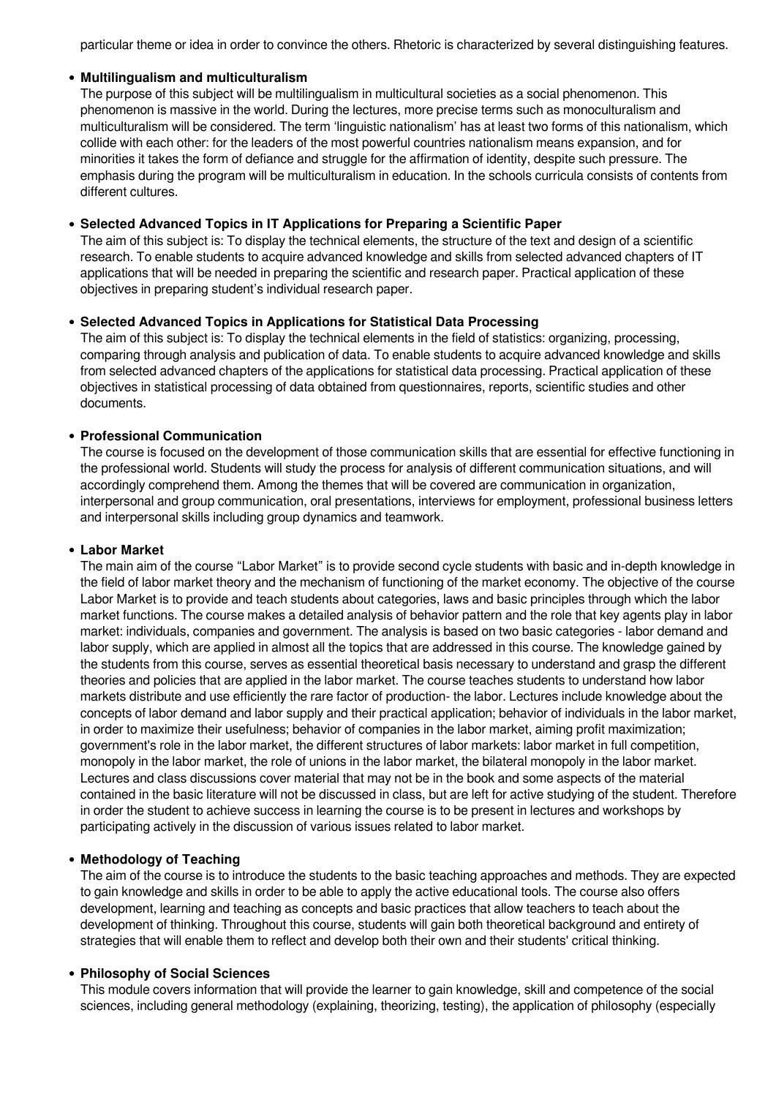particular theme or idea in order to convince the others. Rhetoric is characterized by several distinguishing features.

#### **Multilingualism and multiculturalism**

The purpose of this subject will be multilingualism in multicultural societies as a social phenomenon. This phenomenon is massive in the world. During the lectures, more precise terms such as monoculturalism and multiculturalism will be considered. The term 'linguistic nationalism' has at least two forms of this nationalism, which collide with each other: for the leaders of the most powerful countries nationalism means expansion, and for minorities it takes the form of defiance and struggle for the affirmation of identity, despite such pressure. The emphasis during the program will be multiculturalism in education. In the schools curricula consists of contents from different cultures.

#### **Selected Advanced Topics in IT Applications for Preparing a Scientific Paper**

The aim of this subject is: To display the technical elements, the structure of the text and design of a scientific research. To enable students to acquire advanced knowledge and skills from selected advanced chapters of IT applications that will be needed in preparing the scientific and research paper. Practical application of these objectives in preparing student's individual research paper.

### **Selected Advanced Topics in Applications for Statistical Data Processing**

The aim of this subject is: To display the technical elements in the field of statistics: organizing, processing, comparing through analysis and publication of data. To enable students to acquire advanced knowledge and skills from selected advanced chapters of the applications for statistical data processing. Practical application of these objectives in statistical processing of data obtained from questionnaires, reports, scientific studies and other documents.

#### **Professional Communication**

The course is focused on the development of those communication skills that are essential for effective functioning in the professional world. Students will study the process for analysis of different communication situations, and will accordingly comprehend them. Among the themes that will be covered are communication in organization, interpersonal and group communication, oral presentations, interviews for employment, professional business letters and interpersonal skills including group dynamics and teamwork.

#### **Labor Market**

The main aim of the course "Labor Market" is to provide second cycle students with basic and in-depth knowledge in the field of labor market theory and the mechanism of functioning of the market economy. The objective of the course Labor Market is to provide and teach students about categories, laws and basic principles through which the labor market functions. The course makes a detailed analysis of behavior pattern and the role that key agents play in labor market: individuals, companies and government. The analysis is based on two basic categories - labor demand and labor supply, which are applied in almost all the topics that are addressed in this course. The knowledge gained by the students from this course, serves as essential theoretical basis necessary to understand and grasp the different theories and policies that are applied in the labor market. The course teaches students to understand how labor markets distribute and use efficiently the rare factor of production- the labor. Lectures include knowledge about the concepts of labor demand and labor supply and their practical application; behavior of individuals in the labor market, in order to maximize their usefulness; behavior of companies in the labor market, aiming profit maximization; government's role in the labor market, the different structures of labor markets: labor market in full competition, monopoly in the labor market, the role of unions in the labor market, the bilateral monopoly in the labor market. Lectures and class discussions cover material that may not be in the book and some aspects of the material contained in the basic literature will not be discussed in class, but are left for active studying of the student. Therefore in order the student to achieve success in learning the course is to be present in lectures and workshops by participating actively in the discussion of various issues related to labor market.

#### **Methodology of Teaching**

The aim of the course is to introduce the students to the basic teaching approaches and methods. They are expected to gain knowledge and skills in order to be able to apply the active educational tools. The course also offers development, learning and teaching as concepts and basic practices that allow teachers to teach about the development of thinking. Throughout this course, students will gain both theoretical background and entirety of strategies that will enable them to reflect and develop both their own and their students' critical thinking.

#### **Philosophy of Social Sciences**

This module covers information that will provide the learner to gain knowledge, skill and competence of the social sciences, including general methodology (explaining, theorizing, testing), the application of philosophy (especially